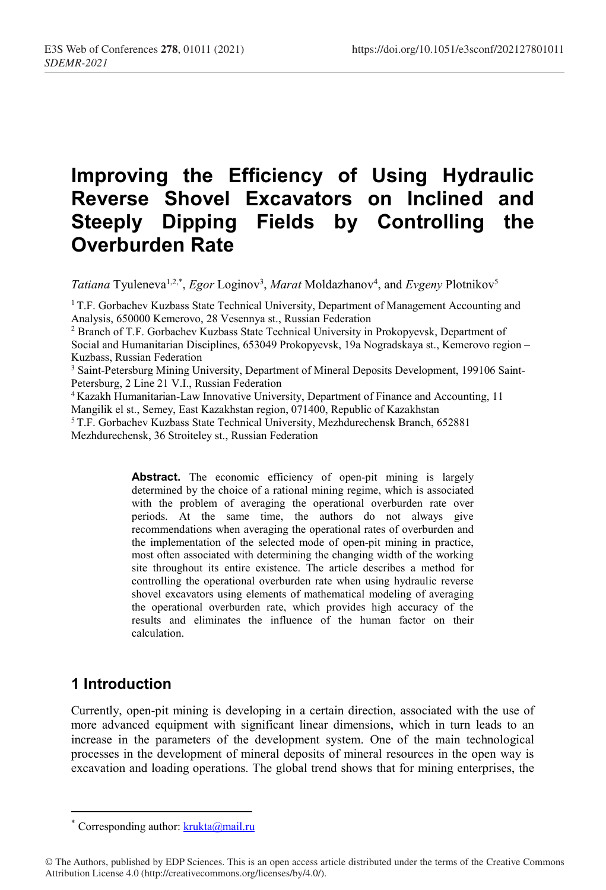# Improving the Efficiency of Using Hydraulic Reverse Shovel Excavators on Inclined and Steeply Dipping Fields by Controlling the Overburden Rate

*Tatiana* Tyuleneva<sup>1,2,\*</sup>, *Egor* Loginov<sup>3</sup>, *Marat* Moldazhanov<sup>4</sup>, and *Evgeny* Plotnikov<sup>5</sup>

<sup>1</sup> T.F. Gorbachev Kuzbass State Technical University, Department of Management Accounting and Analysis, 650000 Kemerovo, 28 Vesennya st., Russian Federation

<sup>2</sup> Branch of T.F. Gorbachev Kuzbass State Technical University in Prokopyevsk, Department of Social and Humanitarian Disciplines, 653049 Prokopyevsk, 19а Nogradskaya st., Kemerovo region – Kuzbass, Russian Federation

<sup>3</sup> Saint-Petersburg Mining University, Department of Mineral Deposits Development, 199106 Saint-Petersburg, 2 Line 21 V.I., Russian Federation

4 Kazakh Humanitarian-Law Innovative University, Department of Finance and Accounting, 11 Mangilik el st., Semey, East Kazakhstan region, 071400, Republic of Kazakhstan 5 T.F. Gorbachev Kuzbass State Technical University, Mezhdurechensk Branch, 652881

Mezhdurechensk, 36 Stroiteley st., Russian Federation

Abstract. The economic efficiency of open-pit mining is largely determined by the choice of a rational mining regime, which is associated with the problem of averaging the operational overburden rate over periods. At the same time, the authors do not always give recommendations when averaging the operational rates of overburden and the implementation of the selected mode of open-pit mining in practice, most often associated with determining the changing width of the working site throughout its entire existence. The article describes a method for controlling the operational overburden rate when using hydraulic reverse shovel excavators using elements of mathematical modeling of averaging the operational overburden rate, which provides high accuracy of the results and eliminates the influence of the human factor on their calculation.

# 1 Introduction

<u>.</u>

Currently, open-pit mining is developing in a certain direction, associated with the use of more advanced equipment with significant linear dimensions, which in turn leads to an increase in the parameters of the development system. One of the main technological processes in the development of mineral deposits of mineral resources in the open way is excavation and loading operations. The global trend shows that for mining enterprises, the

<sup>\*</sup> Corresponding author:  $krukta@mail.ru$ 

<sup>©</sup> The Authors, published by EDP Sciences. This is an open access article distributed under the terms of the Creative Commons Attribution License 4.0 (http://creativecommons.org/licenses/by/4.0/).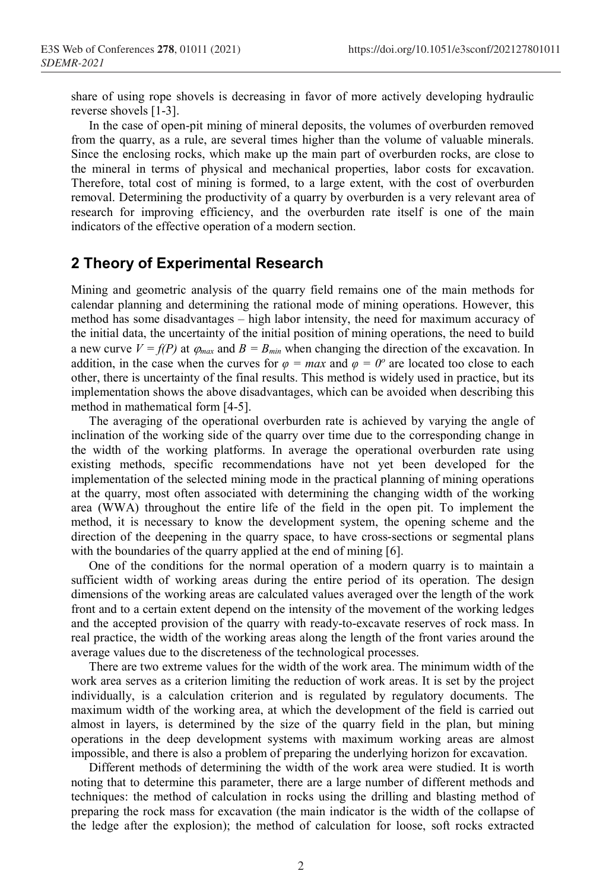share of using rope shovels is decreasing in favor of more actively developing hydraulic reverse shovels [1-3].

In the case of open-pit mining of mineral deposits, the volumes of overburden removed from the quarry, as a rule, are several times higher than the volume of valuable minerals. Since the enclosing rocks, which make up the main part of overburden rocks, are close to the mineral in terms of physical and mechanical properties, labor costs for excavation. Therefore, total cost of mining is formed, to a large extent, with the cost of overburden removal. Determining the productivity of a quarry by overburden is a very relevant area of research for improving efficiency, and the overburden rate itself is one of the main indicators of the effective operation of a modern section.

## 2 Theory of Experimental Research

Mining and geometric analysis of the quarry field remains one of the main methods for calendar planning and determining the rational mode of mining operations. However, this method has some disadvantages – high labor intensity, the need for maximum accuracy of the initial data, the uncertainty of the initial position of mining operations, the need to build a new curve  $V = f(P)$  at  $\varphi_{max}$  and  $B = B_{min}$  when changing the direction of the excavation. In addition, in the case when the curves for  $\varphi = \max$  and  $\varphi = 0^\circ$  are located too close to each other, there is uncertainty of the final results. This method is widely used in practice, but its implementation shows the above disadvantages, which can be avoided when describing this method in mathematical form [4-5].

The averaging of the operational overburden rate is achieved by varying the angle of inclination of the working side of the quarry over time due to the corresponding change in the width of the working platforms. In average the operational overburden rate using existing methods, specific recommendations have not yet been developed for the implementation of the selected mining mode in the practical planning of mining operations at the quarry, most often associated with determining the changing width of the working area (WWA) throughout the entire life of the field in the open pit. To implement the method, it is necessary to know the development system, the opening scheme and the direction of the deepening in the quarry space, to have cross-sections or segmental plans with the boundaries of the quarry applied at the end of mining [6].

One of the conditions for the normal operation of a modern quarry is to maintain a sufficient width of working areas during the entire period of its operation. The design dimensions of the working areas are calculated values averaged over the length of the work front and to a certain extent depend on the intensity of the movement of the working ledges and the accepted provision of the quarry with ready-to-excavate reserves of rock mass. In real practice, the width of the working areas along the length of the front varies around the average values due to the discreteness of the technological processes.

There are two extreme values for the width of the work area. The minimum width of the work area serves as a criterion limiting the reduction of work areas. It is set by the project individually, is a calculation criterion and is regulated by regulatory documents. The maximum width of the working area, at which the development of the field is carried out almost in layers, is determined by the size of the quarry field in the plan, but mining operations in the deep development systems with maximum working areas are almost impossible, and there is also a problem of preparing the underlying horizon for excavation.

Different methods of determining the width of the work area were studied. It is worth noting that to determine this parameter, there are a large number of different methods and techniques: the method of calculation in rocks using the drilling and blasting method of preparing the rock mass for excavation (the main indicator is the width of the collapse of the ledge after the explosion); the method of calculation for loose, soft rocks extracted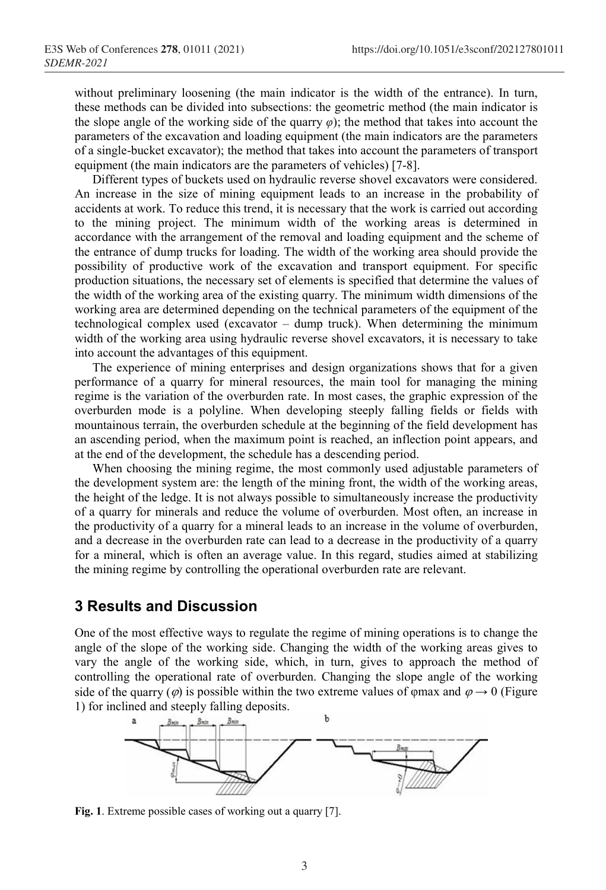without preliminary loosening (the main indicator is the width of the entrance). In turn, these methods can be divided into subsections: the geometric method (the main indicator is the slope angle of the working side of the quarry  $\varphi$ ); the method that takes into account the parameters of the excavation and loading equipment (the main indicators are the parameters of a single-bucket excavator); the method that takes into account the parameters of transport equipment (the main indicators are the parameters of vehicles) [7-8].

Different types of buckets used on hydraulic reverse shovel excavators were considered. An increase in the size of mining equipment leads to an increase in the probability of accidents at work. To reduce this trend, it is necessary that the work is carried out according to the mining project. The minimum width of the working areas is determined in accordance with the arrangement of the removal and loading equipment and the scheme of the entrance of dump trucks for loading. The width of the working area should provide the possibility of productive work of the excavation and transport equipment. For specific production situations, the necessary set of elements is specified that determine the values of the width of the working area of the existing quarry. The minimum width dimensions of the working area are determined depending on the technical parameters of the equipment of the technological complex used (excavator – dump truck). When determining the minimum width of the working area using hydraulic reverse shovel excavators, it is necessary to take into account the advantages of this equipment.

The experience of mining enterprises and design organizations shows that for a given performance of a quarry for mineral resources, the main tool for managing the mining regime is the variation of the overburden rate. In most cases, the graphic expression of the overburden mode is a polyline. When developing steeply falling fields or fields with mountainous terrain, the overburden schedule at the beginning of the field development has an ascending period, when the maximum point is reached, an inflection point appears, and at the end of the development, the schedule has a descending period.

When choosing the mining regime, the most commonly used adjustable parameters of the development system are: the length of the mining front, the width of the working areas, the height of the ledge. It is not always possible to simultaneously increase the productivity of a quarry for minerals and reduce the volume of overburden. Most often, an increase in the productivity of a quarry for a mineral leads to an increase in the volume of overburden, and a decrease in the overburden rate can lead to a decrease in the productivity of a quarry for a mineral, which is often an average value. In this regard, studies aimed at stabilizing the mining regime by controlling the operational overburden rate are relevant.

#### 3 Results and Discussion

One of the most effective ways to regulate the regime of mining operations is to change the angle of the slope of the working side. Changing the width of the working areas gives to vary the angle of the working side, which, in turn, gives to approach the method of controlling the operational rate of overburden. Changing the slope angle of the working side of the quarry ( $\varphi$ ) is possible within the two extreme values of  $\varphi$ max and  $\varphi \to 0$  (Figure 1) for inclined and steeply falling deposits.



Fig. 1. Extreme possible cases of working out a quarry [7].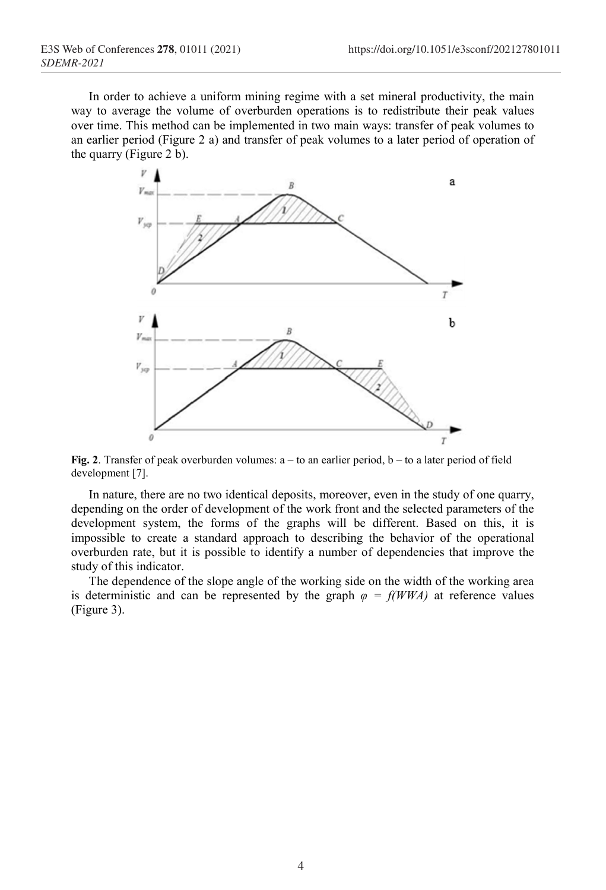In order to achieve a uniform mining regime with a set mineral productivity, the main way to average the volume of overburden operations is to redistribute their peak values over time. This method can be implemented in two main ways: transfer of peak volumes to an earlier period (Figure 2 a) and transfer of peak volumes to a later period of operation of the quarry (Figure 2 b).



Fig. 2. Transfer of peak overburden volumes:  $a - to$  an earlier period,  $b - to$  a later period of field development [7].

In nature, there are no two identical deposits, moreover, even in the study of one quarry, depending on the order of development of the work front and the selected parameters of the development system, the forms of the graphs will be different. Based on this, it is impossible to create a standard approach to describing the behavior of the operational overburden rate, but it is possible to identify a number of dependencies that improve the study of this indicator.

The dependence of the slope angle of the working side on the width of the working area is deterministic and can be represented by the graph  $\varphi = f(WWA)$  at reference values (Figure 3).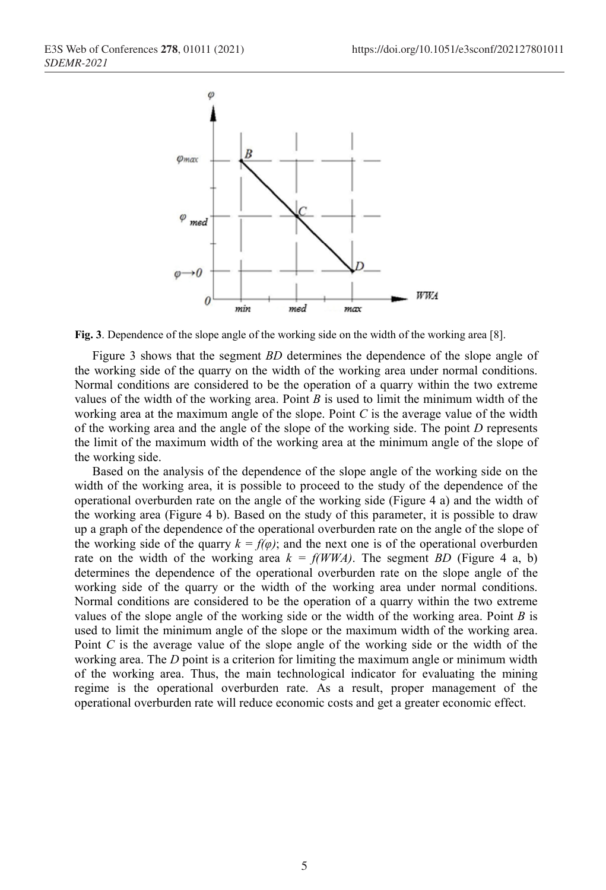

Fig. 3. Dependence of the slope angle of the working side on the width of the working area [8].

Figure 3 shows that the segment BD determines the dependence of the slope angle of the working side of the quarry on the width of the working area under normal conditions. Normal conditions are considered to be the operation of a quarry within the two extreme values of the width of the working area. Point  $B$  is used to limit the minimum width of the working area at the maximum angle of the slope. Point  $C$  is the average value of the width of the working area and the angle of the slope of the working side. The point  $D$  represents the limit of the maximum width of the working area at the minimum angle of the slope of the working side.

Based on the analysis of the dependence of the slope angle of the working side on the width of the working area, it is possible to proceed to the study of the dependence of the operational overburden rate on the angle of the working side (Figure 4 a) and the width of the working area (Figure 4 b). Based on the study of this parameter, it is possible to draw up a graph of the dependence of the operational overburden rate on the angle of the slope of the working side of the quarry  $k = f(\varphi)$ ; and the next one is of the operational overburden rate on the width of the working area  $k = f(WWA)$ . The segment BD (Figure 4 a, b) determines the dependence of the operational overburden rate on the slope angle of the working side of the quarry or the width of the working area under normal conditions. Normal conditions are considered to be the operation of a quarry within the two extreme values of the slope angle of the working side or the width of the working area. Point  $B$  is used to limit the minimum angle of the slope or the maximum width of the working area. Point  $C$  is the average value of the slope angle of the working side or the width of the working area. The *D* point is a criterion for limiting the maximum angle or minimum width of the working area. Thus, the main technological indicator for evaluating the mining regime is the operational overburden rate. As a result, proper management of the operational overburden rate will reduce economic costs and get a greater economic effect.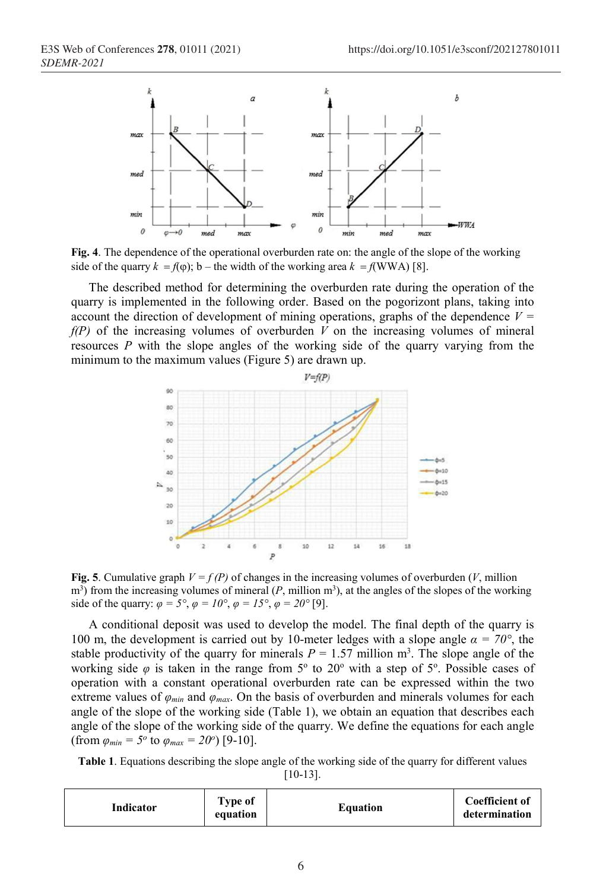

Fig. 4. The dependence of the operational overburden rate on: the angle of the slope of the working side of the quarry  $k = f(\varphi)$ ; b – the width of the working area  $k = f(WWA)$  [8].

The described method for determining the overburden rate during the operation of the quarry is implemented in the following order. Based on the pogorizont plans, taking into account the direction of development of mining operations, graphs of the dependence  $V =$  $f(P)$  of the increasing volumes of overburden  $\overrightarrow{V}$  on the increasing volumes of mineral resources  $P$  with the slope angles of the working side of the quarry varying from the minimum to the maximum values (Figure 5) are drawn up.



Fig. 5. Cumulative graph  $V = f(P)$  of changes in the increasing volumes of overburden (V, million  $m<sup>3</sup>$ ) from the increasing volumes of mineral (P, million  $m<sup>3</sup>$ ), at the angles of the slopes of the working side of the quarry:  $\varphi = 5^\circ$ ,  $\varphi = 10^\circ$ ,  $\varphi = 15^\circ$ ,  $\varphi = 20^\circ$  [9].

A conditional deposit was used to develop the model. The final depth of the quarry is 100 m, the development is carried out by 10-meter ledges with a slope angle  $\alpha = 70^{\circ}$ , the stable productivity of the quarry for minerals  $P = 1.57$  million m<sup>3</sup>. The slope angle of the working side  $\varphi$  is taken in the range from 5° to 20° with a step of 5°. Possible cases of operation with a constant operational overburden rate can be expressed within the two extreme values of  $\varphi_{min}$  and  $\varphi_{max}$ . On the basis of overburden and minerals volumes for each angle of the slope of the working side (Table 1), we obtain an equation that describes each angle of the slope of the working side of the quarry. We define the equations for each angle (from  $\varphi_{min} = 5^{\circ}$  to  $\varphi_{max} = 20^{\circ}$ ) [9-10].

Table 1. Equations describing the slope angle of the working side of the quarry for different values [10-13].

| Indicator | Type of<br>equation | <b>Equation</b> | <b>Coefficient of</b><br>determination |
|-----------|---------------------|-----------------|----------------------------------------|
|-----------|---------------------|-----------------|----------------------------------------|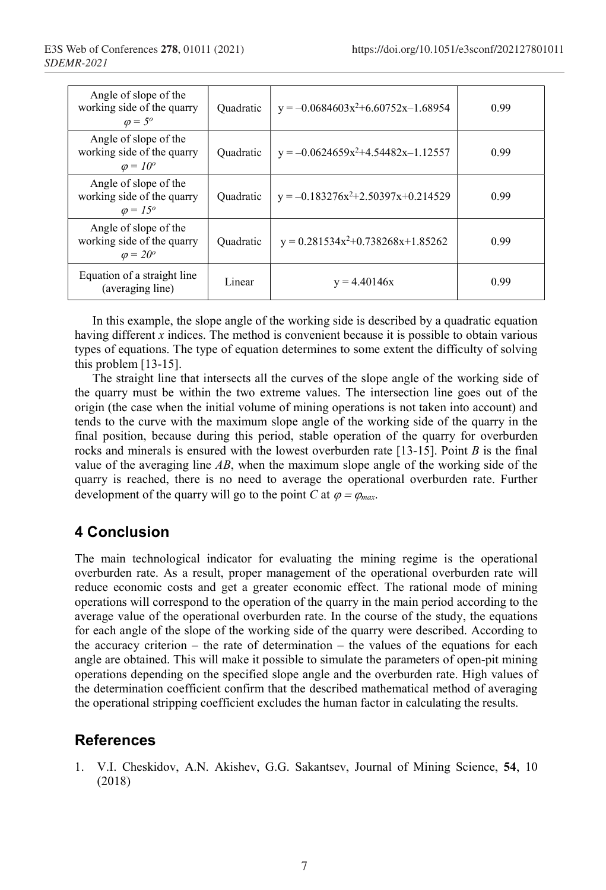| Angle of slope of the<br>working side of the quarry<br>$\varphi = 5^{\circ}$  | Quadratic | $y = -0.0684603x^{2}+6.60752x-1.68954$ | 0.99 |
|-------------------------------------------------------------------------------|-----------|----------------------------------------|------|
| Angle of slope of the<br>working side of the quarry<br>$\varphi = 10^{\circ}$ | Quadratic | $y = -0.0624659x^2+4.54482x-1.12557$   | 0.99 |
| Angle of slope of the<br>working side of the quarry<br>$\varphi = 15^\circ$   | Quadratic | $y = -0.183276x^2+2.50397x+0.214529$   | 0.99 |
| Angle of slope of the<br>working side of the quarry<br>$\varphi = 20^\circ$   | Quadratic | $y = 0.281534x^{2}+0.738268x+1.85262$  | 0.99 |
| Equation of a straight line<br>(averaging line)                               | Linear    | $y = 4.40146x$                         | 0.99 |

In this example, the slope angle of the working side is described by a quadratic equation having different  $x$  indices. The method is convenient because it is possible to obtain various types of equations. The type of equation determines to some extent the difficulty of solving this problem [13-15].

The straight line that intersects all the curves of the slope angle of the working side of the quarry must be within the two extreme values. The intersection line goes out of the origin (the case when the initial volume of mining operations is not taken into account) and tends to the curve with the maximum slope angle of the working side of the quarry in the final position, because during this period, stable operation of the quarry for overburden rocks and minerals is ensured with the lowest overburden rate  $[13-15]$ . Point B is the final value of the averaging line  $AB$ , when the maximum slope angle of the working side of the quarry is reached, there is no need to average the operational overburden rate. Further development of the quarry will go to the point C at  $\varphi = \varphi_{max}$ .

## 4 Conclusion

The main technological indicator for evaluating the mining regime is the operational overburden rate. As a result, proper management of the operational overburden rate will reduce economic costs and get a greater economic effect. The rational mode of mining operations will correspond to the operation of the quarry in the main period according to the average value of the operational overburden rate. In the course of the study, the equations for each angle of the slope of the working side of the quarry were described. According to the accuracy criterion – the rate of determination – the values of the equations for each angle are obtained. This will make it possible to simulate the parameters of open-pit mining operations depending on the specified slope angle and the overburden rate. High values of the determination coefficient confirm that the described mathematical method of averaging the operational stripping coefficient excludes the human factor in calculating the results.

# **References**

1. V.I. Cheskidov, A.N. Akishev, G.G. Sakantsev, Journal of Mining Science, 54, 10 (2018)